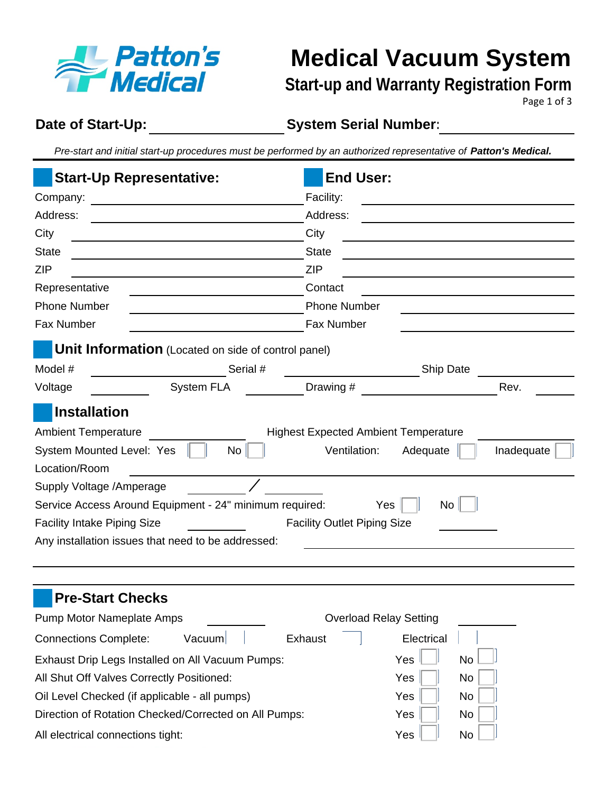

**Medical Vacuum System** 

### **Start-up and Warranty Registration Form**

Page 1 of 3

#### **Date of Start-Up:**

**System Serial Number:**

*Pre-start and initial start-up procedures must be performed by an authorized representative of Patton's Medical.*

|                                    | <b>Start-Up Representative:</b>                            | <b>End User:</b><br>Facility:<br>Address:     |                               |      |  |  |
|------------------------------------|------------------------------------------------------------|-----------------------------------------------|-------------------------------|------|--|--|
|                                    |                                                            |                                               |                               |      |  |  |
| Address:                           |                                                            |                                               |                               |      |  |  |
| City                               |                                                            | City<br><b>State</b><br><b>ZIP</b><br>Contact |                               |      |  |  |
| <b>State</b>                       |                                                            |                                               |                               |      |  |  |
| <b>ZIP</b>                         |                                                            |                                               |                               |      |  |  |
| Representative                     |                                                            |                                               |                               |      |  |  |
| <b>Phone Number</b>                |                                                            | <b>Phone Number</b>                           |                               |      |  |  |
| Fax Number                         |                                                            | Fax Number                                    |                               |      |  |  |
|                                    | <b>Unit Information</b> (Located on side of control panel) |                                               |                               |      |  |  |
| Model #                            | Serial #                                                   |                                               | Ship Date                     |      |  |  |
| Voltage                            | <b>System FLA</b>                                          | Drawing #                                     |                               | Rev. |  |  |
| Installation                       |                                                            |                                               |                               |      |  |  |
| <b>Ambient Temperature</b>         |                                                            | <b>Highest Expected Ambient Temperature</b>   |                               |      |  |  |
| System Mounted Level: Yes          | No                                                         | Ventilation:<br>Adequate<br>Inadequate        |                               |      |  |  |
| Location/Room                      |                                                            |                                               |                               |      |  |  |
| Supply Voltage / Amperage          |                                                            |                                               |                               |      |  |  |
|                                    | Service Access Around Equipment - 24" minimum required:    |                                               | No<br>Yes                     |      |  |  |
| <b>Facility Intake Piping Size</b> |                                                            | <b>Facility Outlet Piping Size</b>            |                               |      |  |  |
|                                    | Any installation issues that need to be addressed:         |                                               |                               |      |  |  |
|                                    |                                                            |                                               |                               |      |  |  |
|                                    |                                                            |                                               |                               |      |  |  |
| <b>Pre-Start Checks</b>            |                                                            |                                               |                               |      |  |  |
| Pump Motor Nameplate Amps          |                                                            |                                               | <b>Overload Relay Setting</b> |      |  |  |
| <b>Connections Complete:</b>       | Vacuum                                                     | Exhaust                                       | Electrical                    |      |  |  |
|                                    | Exhaust Drip Legs Installed on All Vacuum Pumps:           |                                               | Yes<br>No                     |      |  |  |
|                                    | All Shut Off Valves Correctly Positioned:                  |                                               | Yes<br><b>No</b>              |      |  |  |
|                                    | Oil Level Checked (if applicable - all pumps)              |                                               | Yes<br>No                     |      |  |  |
|                                    | Direction of Rotation Checked/Corrected on All Pumps:      |                                               | Yes<br>No                     |      |  |  |
| All electrical connections tight:  |                                                            |                                               | Yes<br>No                     |      |  |  |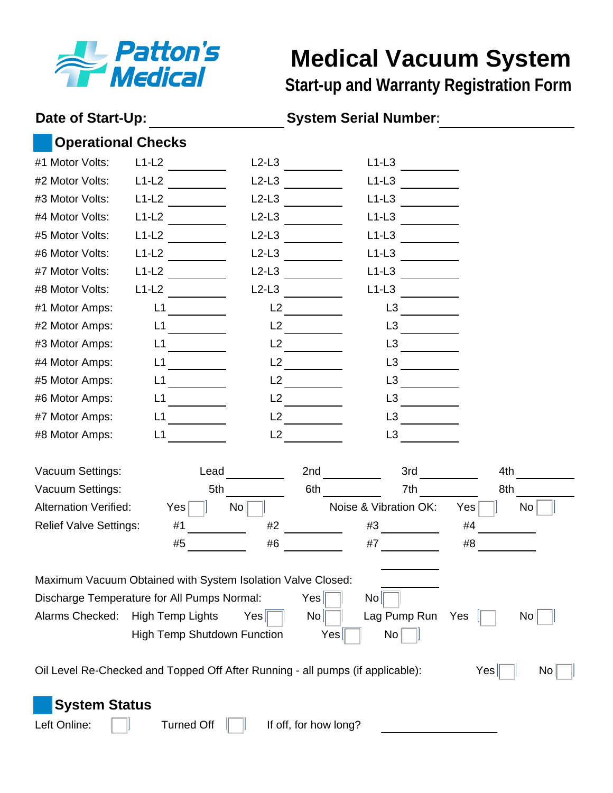

## **Medical Vacuum System**

**Start-up and Warranty Registration Form**

#### **Date of Start-Up:**

#### **System Serial Number:**

#### **Operational Checks**

| #1 Motor Volts:                                                                | $L1-L2$ |                         | $L2-L3$                            |                       | $L1-L3$               |     |           |
|--------------------------------------------------------------------------------|---------|-------------------------|------------------------------------|-----------------------|-----------------------|-----|-----------|
| #2 Motor Volts:                                                                | $L1-L2$ |                         | $L2-L3$                            |                       | $L1-L3$               |     |           |
| #3 Motor Volts:                                                                | $L1-L2$ |                         | $L2-L3$                            |                       | $L1-L3$               |     |           |
| #4 Motor Volts:                                                                | $L1-L2$ |                         | $L2-L3$                            |                       | $L1-L3$               |     |           |
| #5 Motor Volts:                                                                | $L1-L2$ |                         | $L2-L3$                            |                       | $L1-L3$               |     |           |
| #6 Motor Volts:                                                                | $L1-L2$ |                         | $L2-L3$                            |                       | $L1-L3$               |     |           |
| #7 Motor Volts:                                                                | $L1-L2$ |                         | $L2-L3$                            |                       | $L1-L3$               |     |           |
| #8 Motor Volts:                                                                | $L1-L2$ |                         | $L2-L3$                            |                       | $L1-L3$               |     |           |
| #1 Motor Amps:                                                                 | L1      |                         | L2                                 |                       | L <sub>3</sub>        |     |           |
| #2 Motor Amps:                                                                 | L1      |                         | L2                                 |                       | L3                    |     |           |
| #3 Motor Amps:                                                                 | L1      |                         | L2                                 |                       | L <sub>3</sub>        |     |           |
| #4 Motor Amps:                                                                 | L1      |                         | L2                                 |                       | L <sub>3</sub>        |     |           |
| #5 Motor Amps:                                                                 | L1      |                         | L2                                 |                       | L <sub>3</sub>        |     |           |
| #6 Motor Amps:                                                                 | L1      |                         | L2                                 |                       | L <sub>3</sub>        |     |           |
| #7 Motor Amps:                                                                 | L1      |                         | L2                                 |                       | L <sub>3</sub>        |     |           |
| #8 Motor Amps:                                                                 | L1      |                         | L2                                 |                       | L <sub>3</sub>        |     |           |
|                                                                                |         |                         |                                    |                       |                       |     |           |
|                                                                                |         |                         |                                    |                       |                       |     |           |
| Vacuum Settings:                                                               |         | Lead                    |                                    | 2nd                   | 3rd                   | 4th |           |
| Vacuum Settings:                                                               |         | 5th                     |                                    | 6th                   | 7th                   | 8th |           |
| <b>Alternation Verified:</b>                                                   |         | Yes                     | $\mathsf{No}\ $                    |                       | Noise & Vibration OK: | Yes | <b>No</b> |
| <b>Relief Valve Settings:</b>                                                  |         | #1                      | #2                                 | #3                    |                       | #4  |           |
|                                                                                |         | #5                      | #6                                 | #7                    |                       | #8  |           |
|                                                                                |         |                         |                                    |                       |                       |     |           |
| Maximum Vacuum Obtained with System Isolation Valve Closed:                    |         |                         |                                    |                       |                       |     |           |
| Discharge Temperature for All Pumps Normal:                                    |         |                         |                                    | Yes <br>$\mathsf{No}$ |                       |     |           |
| Alarms Checked:                                                                |         | <b>High Temp Lights</b> | Yes                                | No                    | Lag Pump Run          | Yes | No        |
|                                                                                |         |                         | <b>High Temp Shutdown Function</b> | Yes                   | No                    |     |           |
|                                                                                |         |                         |                                    |                       |                       |     |           |
| Oil Level Re-Checked and Topped Off After Running - all pumps (if applicable): |         |                         |                                    |                       |                       | Yes | No.       |
|                                                                                |         |                         |                                    |                       |                       |     |           |
| <b>System Status</b><br>Left Online:                                           |         | <b>Turned Off</b>       |                                    | If off, for how long? |                       |     |           |